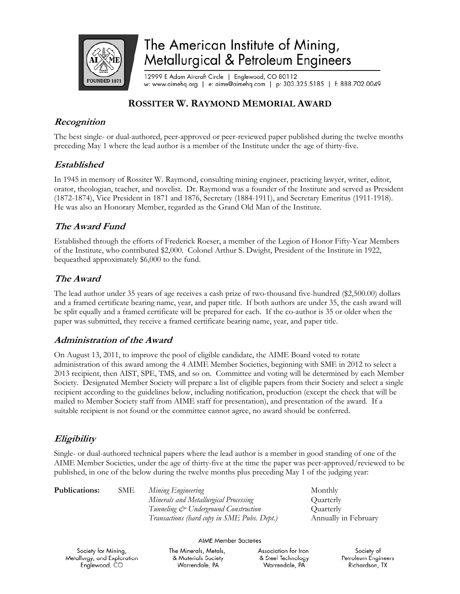

# The American Institute of Mining, Metallurgical & Petroleum Engineers

12999 E Adam Aircraft Circle | Englewood, CO 80112 w: www.aimehq.org | e: aime@aimehq.com | p: 303.325.5185 | f: 888.702.0049

## **ROSSITER W. RAYMOND MEMORIAL AWARD**

## **Recognition**

The best single- or dual-authored, peer-approved or peer-reviewed paper published during the twelve months preceding May 1 where the lead author is a member of the Institute under the age of thirty-five.

## **Established**

In 1945 in memory of Rossiter W. Raymond, consulting mining engineer, practicing lawyer, writer, editor, orator, theologian, teacher, and novelist. Dr. Raymond was a founder of the Institute and served as President (1872-1874), Vice President in 1871 and 1876, Secretary (1884-1911), and Secretary Emeritus (1911-1918). He was also an Honorary Member, regarded as the Grand Old Man of the Institute.

## **The Award Fund**

Established through the efforts of Frederick Roeser, a member of the Legion of Honor Fifty-Year Members of the Institute, who contributed \$2,000. Colonel Arthur S. Dwight, President of the Institute in 1922, bequeathed approximately \$6,000 to the fund.

# **The Award**

The lead author under 35 years of age receives a cash prize of two-thousand five-hundred (\$2,500.00) dollars and a framed certificate bearing name, year, and paper title. If both authors are under 35, the cash award will be split equally and a framed certificate will be prepared for each. If the co-author is 35 or older when the paper was submitted, they receive a framed certificate bearing name, year, and paper title.

## **Administration of the Award**

On August 13, 2011, to improve the pool of eligible candidate, the AIME Board voted to rotate administration of this award among the 4 AIME Member Societies, beginning with SME in 2012 to select a 2013 recipient, then AIST, SPE, TMS, and so on. Committee and voting will be determined by each Member Society. Designated Member Society will prepare a list of eligible papers from their Society and select a single recipient according to the guidelines below, including notification, production (except the check that will be mailed to Member Society staff from AIME staff for presentation), and presentation of the award. If a suitable recipient is not found or the committee cannot agree, no award should be conferred.

# **Eligibility**

Single- or dual-authored technical papers where the lead author is a member in good standing of one of the AIME Member Societies, under the age of thirty-five at the time the paper was peer-approved/reviewed to be published, in one of the below during the twelve months plus preceding May 1 of the judging year:

| <b>Publications:</b> | SME | Mining Engineering                          | Monthly              |
|----------------------|-----|---------------------------------------------|----------------------|
|                      |     | Minerals and Metallurgical Processing       | Quarterly            |
|                      |     | Tunneling & Underground Construction        | <b>Ouarterly</b>     |
|                      |     | Transactions (hard copy in SME Pubs. Dept.) | Annually in February |

#### **AIME Member Societies**

Society for Mining, Metallurgy, and Exploration Englewood, CO

The Minerals, Metals, & Materials Society Warrendale, PA

Association for Iron & Steel Technology Warrendale, PA

Society of Petroleum Engineers Richardson, TX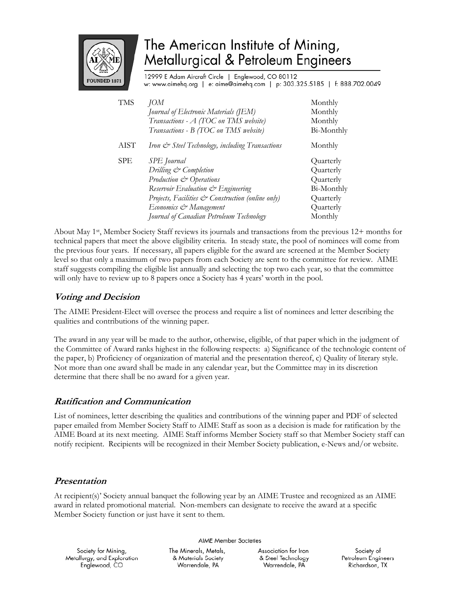

# The American Institute of Mining, Metallurgical & Petroleum Engineers

12999 E Adam Aircraft Circle | Englewood, CO 80112 w: www.aimehq.org | e: aime@aimehq.com | p: 303.325.5185 | f: 888.702.0049

| <b>TMS</b> | JOM                                               | Monthly    |
|------------|---------------------------------------------------|------------|
|            | Journal of Electronic Materials (JEM)             | Monthly    |
|            | Transactions - A (TOC on TMS website)             | Monthly    |
|            | Transactions - B (TOC on TMS website)             | Bi-Monthly |
| AIST       | Iron & Steel Technology, including Transactions   | Monthly    |
| <b>SPE</b> | <b>SPE</b> Journal                                | Quarterly  |
|            | Drilling & Completion                             | Quarterly  |
|            | Production & Operations                           | Quarterly  |
|            | Reservoir Evaluation & Engineering                | Bi-Monthly |
|            | Projects, Facilities & Construction (online only) | Quarterly  |
|            | Economics & Management                            | Quarterly  |
|            | Journal of Canadian Petroleum Technology          | Monthly    |

About May 1st, Member Society Staff reviews its journals and transactions from the previous 12+ months for technical papers that meet the above eligibility criteria. In steady state, the pool of nominees will come from the previous four years. If necessary, all papers eligible for the award are screened at the Member Society level so that only a maximum of two papers from each Society are sent to the committee for review. AIME staff suggests compiling the eligible list annually and selecting the top two each year, so that the committee will only have to review up to 8 papers once a Society has 4 years' worth in the pool.

### **Voting and Decision**

The AIME President-Elect will oversee the process and require a list of nominees and letter describing the qualities and contributions of the winning paper.

The award in any year will be made to the author, otherwise, eligible, of that paper which in the judgment of the Committee of Award ranks highest in the following respects: a) Significance of the technologic content of the paper, b) Proficiency of organization of material and the presentation thereof, c) Quality of literary style. Not more than one award shall be made in any calendar year, but the Committee may in its discretion determine that there shall be no award for a given year.

### **Ratification and Communication**

List of nominees, letter describing the qualities and contributions of the winning paper and PDF of selected paper emailed from Member Society Staff to AIME Staff as soon as a decision is made for ratification by the AIME Board at its next meeting. AIME Staff informs Member Society staff so that Member Society staff can notify recipient. Recipients will be recognized in their Member Society publication, e-News and/or website.

### **Presentation**

At recipient(s)' Society annual banquet the following year by an AIME Trustee and recognized as an AIME award in related promotional material. Non-members can designate to receive the award at a specific Member Society function or just have it sent to them.

**AIME Member Societies** 

Society for Mining, Metallurgy, and Exploration Englewood, CO

The Minerals, Metals, & Materials Society Warrendale, PA

Association for Iron & Steel Technology Warrendale, PA

Society of Petroleum Engineers Richardson, TX